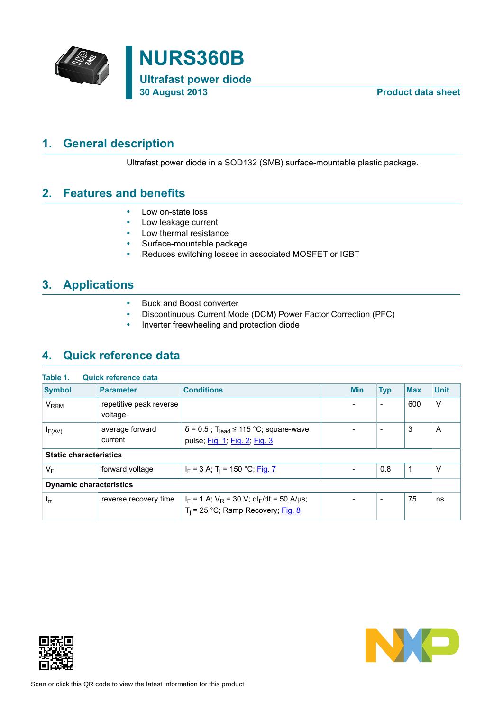



# **1. General description**

<span id="page-0-0"></span>Ultrafast power diode in a SOD132 (SMB) surface-mountable plastic package.

## **2. Features and benefits**

- <span id="page-0-1"></span>• Low on-state loss
- Low leakage current
- Low thermal resistance
- Surface-mountable package<br>• Reduces switching losses in
- Reduces switching losses in associated MOSFET or IGBT

# **3. Applications**

- <span id="page-0-2"></span>• Buck and Boost converter
- Discontinuous Current Mode (DCM) Power Factor Correction (PFC)
- <span id="page-0-3"></span>• Inverter freewheeling and protection diode

# **4. Quick reference data**

| Table 1.<br>Quick reference data |                                    |                                                                                                   |  |                          |                          |            |             |
|----------------------------------|------------------------------------|---------------------------------------------------------------------------------------------------|--|--------------------------|--------------------------|------------|-------------|
| <b>Symbol</b>                    | <b>Parameter</b>                   | <b>Conditions</b>                                                                                 |  | <b>Min</b>               | <b>Typ</b>               | <b>Max</b> | <b>Unit</b> |
| <b>V<sub>RRM</sub></b>           | repetitive peak reverse<br>voltage |                                                                                                   |  | $\overline{\phantom{0}}$ | $\overline{\phantom{a}}$ | 600        | $\vee$      |
| $I_{F(AV)}$                      | average forward<br>current         | $\delta$ = 0.5; T <sub>lead</sub> ≤ 115 °C; square-wave<br>pulse; Fig. 1; Fig. 2; Fig. 3          |  |                          | $\overline{\phantom{0}}$ | 3          | A           |
| <b>Static characteristics</b>    |                                    |                                                                                                   |  |                          |                          |            |             |
| $V_F$                            | forward voltage                    | $I_F$ = 3 A; T <sub>i</sub> = 150 °C; <u>Fig. 7</u>                                               |  | $\overline{\phantom{0}}$ | 0.8                      | -1         | V           |
| <b>Dynamic characteristics</b>   |                                    |                                                                                                   |  |                          |                          |            |             |
| $t_{rr}$                         | reverse recovery time              | $I_F = 1$ A; $V_R = 30$ V; dl <sub>F</sub> /dt = 50 A/µs;<br>$T_i$ = 25 °C; Ramp Recovery; Fig. 8 |  |                          | $\overline{\phantom{0}}$ | 75         | ns          |



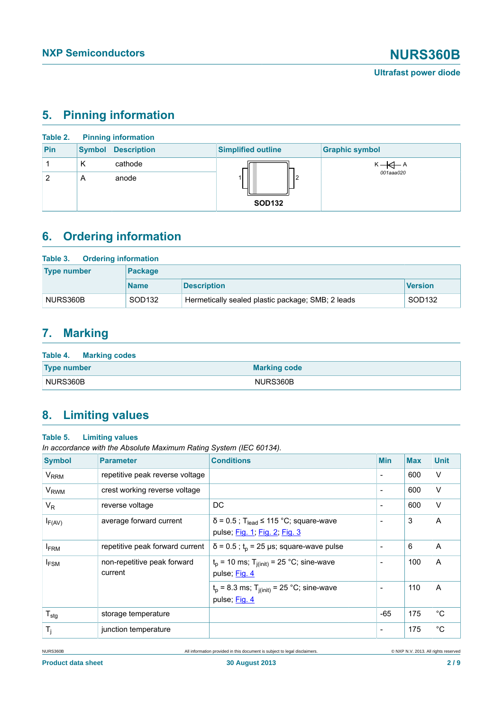# <span id="page-1-0"></span>**5. Pinning information**

| Table 2. |               | <b>Pinning information</b> |                           |                                       |
|----------|---------------|----------------------------|---------------------------|---------------------------------------|
| Pin      | <b>Symbol</b> | <b>Description</b>         | <b>Simplified outline</b> | <b>Graphic symbol</b>                 |
|          | K             | cathode                    |                           | $K \nightharpoonup A$<br>$001$ aaa020 |
| 2        | A             | anode                      | 12<br><b>SOD132</b>       |                                       |

# <span id="page-1-1"></span>**6. Ordering information**

| Table 3. Ordering information |                    |                                                   |                    |  |  |  |  |
|-------------------------------|--------------------|---------------------------------------------------|--------------------|--|--|--|--|
| <b>Type number</b>            | <b>Package</b>     |                                                   |                    |  |  |  |  |
|                               | <b>Name</b>        | <b>Description</b>                                | <b>Version</b>     |  |  |  |  |
| NURS360B                      | SOD <sub>132</sub> | Hermetically sealed plastic package; SMB; 2 leads | SOD <sub>132</sub> |  |  |  |  |

# <span id="page-1-2"></span>**7. Marking**

| Table 4. Marking codes |                     |
|------------------------|---------------------|
| <b>Type number</b>     | <b>Marking code</b> |
| NURS360B               | NURS360B            |

# <span id="page-1-3"></span>**8. Limiting values**

### **Table 5. Limiting values**

*In accordance with the Absolute Maximum Rating System (IEC 60134).*

| <b>Symbol</b>          | <b>Parameter</b>                       | <b>Conditions</b>                                                                        | <b>Min</b>               | <b>Max</b> | <b>Unit</b>  |
|------------------------|----------------------------------------|------------------------------------------------------------------------------------------|--------------------------|------------|--------------|
| <b>V<sub>RRM</sub></b> | repetitive peak reverse voltage        |                                                                                          | $\overline{\phantom{a}}$ | 600        | V            |
| <b>V<sub>RWM</sub></b> | crest working reverse voltage          |                                                                                          | $\blacksquare$           | 600        | V            |
| $V_R$                  | reverse voltage                        | DC                                                                                       | $\overline{\phantom{a}}$ | 600        | V            |
| $I_{F(AV)}$            | average forward current                | $\delta$ = 0.5; T <sub>lead</sub> ≤ 115 °C; square-wave<br>pulse; Fig. 1; Fig. 2; Fig. 3 | $\blacksquare$           | 3          | A            |
| <b>IFRM</b>            | repetitive peak forward current        | $\delta$ = 0.5; t <sub>p</sub> = 25 µs; square-wave pulse                                | $\blacksquare$           | 6          | A            |
| $I_{FSM}$              | non-repetitive peak forward<br>current | $t_p$ = 10 ms; T <sub>i(init)</sub> = 25 °C; sine-wave<br>pulse; Fig. 4                  | $\overline{\phantom{a}}$ | 100        | A            |
|                        |                                        | $t_p$ = 8.3 ms; T <sub>j(init)</sub> = 25 °C; sine-wave<br>pulse; Fig. 4                 | $\overline{\phantom{a}}$ | 110        | A            |
| ${\sf T}_{\sf stg}$    | storage temperature                    |                                                                                          | $-65$                    | 175        | $^{\circ}$ C |
| $T_i$                  | junction temperature                   |                                                                                          | $\overline{\phantom{a}}$ | 175        | $^{\circ}$ C |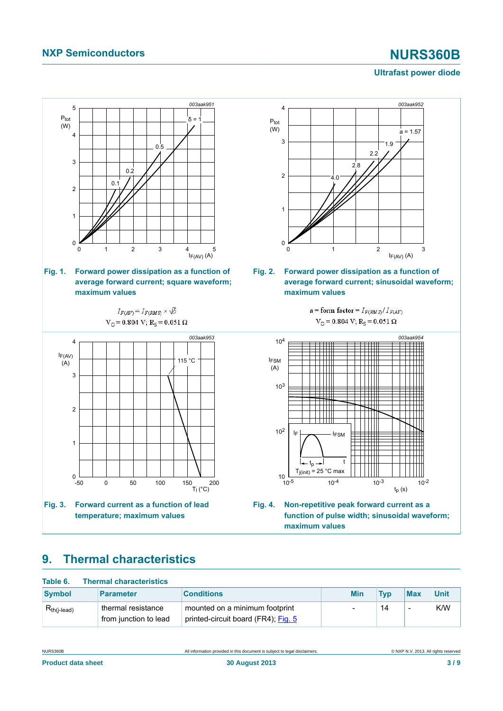## **NXP Semiconductors NURS360B**

### <span id="page-2-3"></span><span id="page-2-1"></span>**Ultrafast power diode**

<span id="page-2-0"></span>

# <span id="page-2-4"></span><span id="page-2-2"></span>**9. Thermal characteristics**

| Table 6.         | <b>Thermal characteristics</b>              |                                                                       |            |            |                          |             |
|------------------|---------------------------------------------|-----------------------------------------------------------------------|------------|------------|--------------------------|-------------|
| <b>Symbol</b>    | <b>Parameter</b>                            | <b>Conditions</b>                                                     | <b>Min</b> | <b>Tvp</b> | <b>Max</b>               | <b>Unit</b> |
| $R_{th(i-lead)}$ | thermal resistance<br>from junction to lead | mounted on a minimum footprint<br>printed-circuit board (FR4); Fig. 5 |            | 14         | $\overline{\phantom{a}}$ | K/W         |

NURS360B All information provided in this document is subject to legal disclaimers. © NXP N.V. 2013. All rights reserved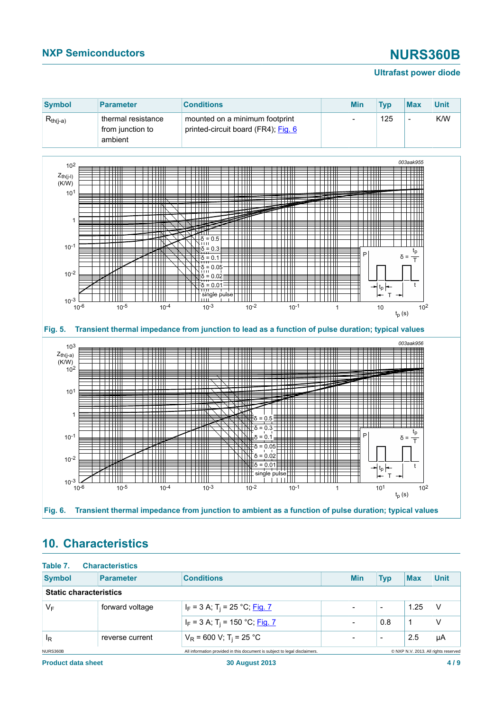## **NXP Semiconductors NURS360B**

### **Ultrafast power diode**

<span id="page-3-0"></span>

# <span id="page-3-2"></span><span id="page-3-1"></span>**10. Characteristics**

| Table 7.                      | <b>Characteristics</b> |                                                                            |                          |                          |            |                                      |
|-------------------------------|------------------------|----------------------------------------------------------------------------|--------------------------|--------------------------|------------|--------------------------------------|
| <b>Symbol</b>                 | <b>Parameter</b>       | <b>Conditions</b>                                                          | <b>Min</b>               | <b>Typ</b>               | <b>Max</b> | <b>Unit</b>                          |
| <b>Static characteristics</b> |                        |                                                                            |                          |                          |            |                                      |
| $V_F$                         | forward voltage        | $I_F$ = 3 A; T <sub>i</sub> = 25 °C; <u>Fig. 7</u>                         | $\overline{\phantom{0}}$ | $\overline{\phantom{0}}$ | 1.25       | <b>V</b>                             |
|                               |                        | $I_F$ = 3 A; T <sub>i</sub> = 150 °C; <u>Fig. 7</u>                        | $\overline{\phantom{0}}$ | 0.8                      | 1          | ν                                    |
| ΙŖ                            | reverse current        | $V_R$ = 600 V; T <sub>i</sub> = 25 °C                                      | $\overline{\phantom{0}}$ | $\overline{\phantom{a}}$ | 2.5        | μA                                   |
| NURS360B                      |                        | All information provided in this document is subject to legal disclaimers. |                          |                          |            | © NXP N.V. 2013. All rights reserved |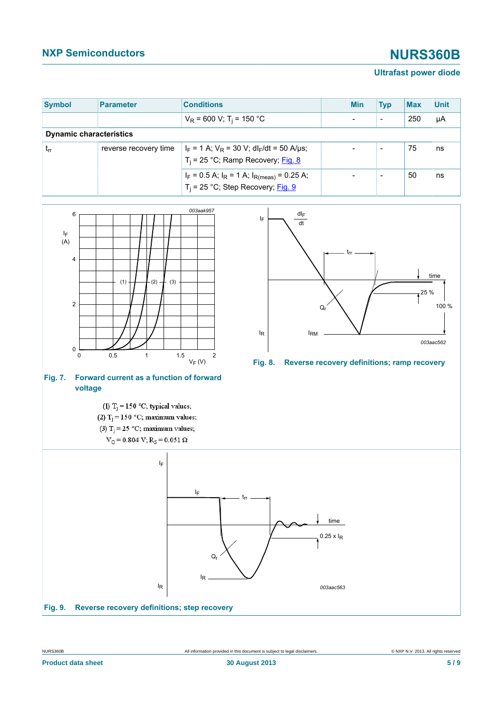# **NXP Semiconductors NURS360B**

### <span id="page-4-1"></span>**Ultrafast power diode**

| <b>Symbol</b>                  | <b>Parameter</b>      | <b>Conditions</b>                                                                                    |  | <b>Min</b> | <b>Typ</b>               | <b>Max</b> | <b>Unit</b> |
|--------------------------------|-----------------------|------------------------------------------------------------------------------------------------------|--|------------|--------------------------|------------|-------------|
|                                |                       | $V_R$ = 600 V; T <sub>i</sub> = 150 °C                                                               |  |            | $\overline{\phantom{0}}$ | 250        | μA          |
| <b>Dynamic characteristics</b> |                       |                                                                                                      |  |            |                          |            |             |
| $t_{rr}$                       | reverse recovery time | $ I_F = 1 A$ ; $V_R = 30 V$ ; dl <sub>F</sub> /dt = 50 A/µs;<br>$T_i$ = 25 °C; Ramp Recovery; Fig. 8 |  |            | $\overline{\phantom{0}}$ | 75         | ns          |
|                                |                       | $I_F = 0.5$ A; $I_R = 1$ A; $I_{R(meas)} = 0.25$ A;<br>$T_i$ = 25 °C; Step Recovery; Fig. 9          |  |            | -                        | 50         | ns          |

<span id="page-4-2"></span><span id="page-4-0"></span>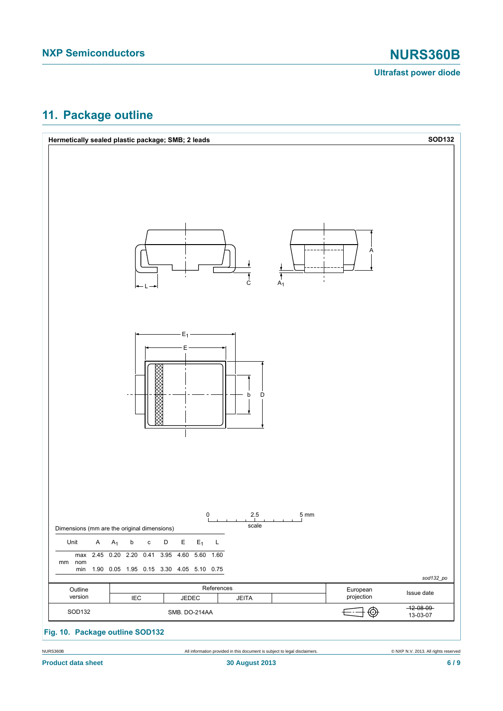## <span id="page-5-0"></span>**11. Package outline**

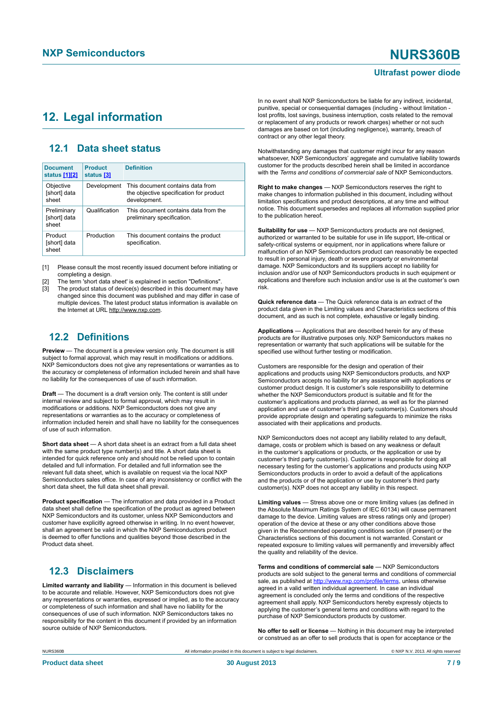## <span id="page-6-1"></span><span id="page-6-0"></span>**12. Legal information**

### <span id="page-6-2"></span>**12.1 Data sheet status**

| <b>Document</b><br>status [1][2]     | <b>Product</b><br>status [3] | <b>Definition</b>                                                                           |
|--------------------------------------|------------------------------|---------------------------------------------------------------------------------------------|
| Objective<br>[short] data<br>sheet   | Development                  | This document contains data from<br>the objective specification for product<br>development. |
| Preliminary<br>[short] data<br>sheet | Qualification                | This document contains data from the<br>preliminary specification.                          |
| Product<br>[short] data<br>sheet     | Production                   | This document contains the product<br>specification.                                        |

[1] Please consult the most recently issued document before initiating or completing a design.

[2] The term 'short data sheet' is explained in section "Definitions".

The product status of device(s) described in this document may have changed since this document was published and may differ in case of multiple devices. The latest product status information is available on the Internet at URL http://www.nxp.com.

## <span id="page-6-3"></span>**12.2 Definitions**

**Preview** — The document is a preview version only. The document is still subject to formal approval, which may result in modifications or additions. NXP Semiconductors does not give any representations or warranties as to the accuracy or completeness of information included herein and shall have no liability for the consequences of use of such information.

**Draft** — The document is a draft version only. The content is still under internal review and subject to formal approval, which may result in modifications or additions. NXP Semiconductors does not give any representations or warranties as to the accuracy or completeness of information included herein and shall have no liability for the consequences of use of such information.

**Short data sheet** — A short data sheet is an extract from a full data sheet with the same product type number(s) and title. A short data sheet is intended for quick reference only and should not be relied upon to contain detailed and full information. For detailed and full information see the relevant full data sheet, which is available on request via the local NXP Semiconductors sales office. In case of any inconsistency or conflict with the short data sheet, the full data sheet shall prevail.

**Product specification** — The information and data provided in a Product data sheet shall define the specification of the product as agreed between NXP Semiconductors and its customer, unless NXP Semiconductors and customer have explicitly agreed otherwise in writing. In no event however, shall an agreement be valid in which the NXP Semiconductors product is deemed to offer functions and qualities beyond those described in the Product data sheet.

## <span id="page-6-4"></span>**12.3 Disclaimers**

**Limited warranty and liability** — Information in this document is believed to be accurate and reliable. However, NXP Semiconductors does not give any representations or warranties, expressed or implied, as to the accuracy or completeness of such information and shall have no liability for the consequences of use of such information. NXP Semiconductors takes no responsibility for the content in this document if provided by an information source outside of NXP Semiconductors.

In no event shall NXP Semiconductors be liable for any indirect, incidental, punitive, special or consequential damages (including - without limitation lost profits, lost savings, business interruption, costs related to the removal or replacement of any products or rework charges) whether or not such damages are based on tort (including negligence), warranty, breach of contract or any other legal theory.

Notwithstanding any damages that customer might incur for any reason whatsoever, NXP Semiconductors' aggregate and cumulative liability towards customer for the products described herein shall be limited in accordance with the *Terms and conditions of commercial sale* of NXP Semiconductors.

**Right to make changes** — NXP Semiconductors reserves the right to make changes to information published in this document, including without limitation specifications and product descriptions, at any time and without notice. This document supersedes and replaces all information supplied prior to the publication hereof.

**Suitability for use** — NXP Semiconductors products are not designed, authorized or warranted to be suitable for use in life support, life-critical or safety-critical systems or equipment, nor in applications where failure or malfunction of an NXP Semiconductors product can reasonably be expected to result in personal injury, death or severe property or environmental damage. NXP Semiconductors and its suppliers accept no liability for inclusion and/or use of NXP Semiconductors products in such equipment or applications and therefore such inclusion and/or use is at the customer's own risk.

**Quick reference data** — The Quick reference data is an extract of the product data given in the Limiting values and Characteristics sections of this document, and as such is not complete, exhaustive or legally binding.

**Applications** — Applications that are described herein for any of these products are for illustrative purposes only. NXP Semiconductors makes no representation or warranty that such applications will be suitable for the specified use without further testing or modification.

Customers are responsible for the design and operation of their applications and products using NXP Semiconductors products, and NXP Semiconductors accepts no liability for any assistance with applications or customer product design. It is customer's sole responsibility to determine whether the NXP Semiconductors product is suitable and fit for the customer's applications and products planned, as well as for the planned application and use of customer's third party customer(s). Customers should provide appropriate design and operating safeguards to minimize the risks associated with their applications and products.

NXP Semiconductors does not accept any liability related to any default, damage, costs or problem which is based on any weakness or default in the customer's applications or products, or the application or use by customer's third party customer(s). Customer is responsible for doing all necessary testing for the customer's applications and products using NXP Semiconductors products in order to avoid a default of the applications and the products or of the application or use by customer's third party customer(s). NXP does not accept any liability in this respect.

**Limiting values** — Stress above one or more limiting values (as defined in the Absolute Maximum Ratings System of IEC 60134) will cause permanent damage to the device. Limiting values are stress ratings only and (proper) operation of the device at these or any other conditions above those given in the Recommended operating conditions section (if present) or the Characteristics sections of this document is not warranted. Constant or repeated exposure to limiting values will permanently and irreversibly affect the quality and reliability of the device.

**Terms and conditions of commercial sale** — NXP Semiconductors products are sold subject to the general terms and conditions of commercial sale, as published at<http://www.nxp.com/profile/terms>, unless otherwise agreed in a valid written individual agreement. In case an individual agreement is concluded only the terms and conditions of the respective agreement shall apply. NXP Semiconductors hereby expressly objects to applying the customer's general terms and conditions with regard to the purchase of NXP Semiconductors products by customer.

**No offer to sell or license** — Nothing in this document may be interpreted or construed as an offer to sell products that is open for acceptance or the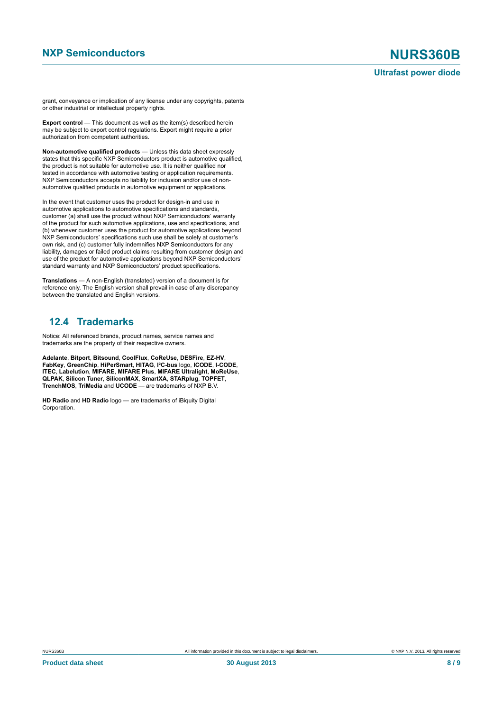grant, conveyance or implication of any license under any copyrights, patents or other industrial or intellectual property rights.

**Export control** — This document as well as the item(s) described herein may be subject to export control regulations. Export might require a prior authorization from competent authorities.

**Non-automotive qualified products** — Unless this data sheet expressly states that this specific NXP Semiconductors product is automotive qualified, the product is not suitable for automotive use. It is neither qualified nor tested in accordance with automotive testing or application requirements. NXP Semiconductors accepts no liability for inclusion and/or use of nonautomotive qualified products in automotive equipment or applications.

In the event that customer uses the product for design-in and use in automotive applications to automotive specifications and standards, customer (a) shall use the product without NXP Semiconductors' warranty of the product for such automotive applications, use and specifications, and (b) whenever customer uses the product for automotive applications beyond NXP Semiconductors' specifications such use shall be solely at customer's own risk, and (c) customer fully indemnifies NXP Semiconductors for any liability, damages or failed product claims resulting from customer design and use of the product for automotive applications beyond NXP Semiconductors' standard warranty and NXP Semiconductors' product specifications.

**Translations** — A non-English (translated) version of a document is for reference only. The English version shall prevail in case of any discrepancy between the translated and English versions.

### <span id="page-7-0"></span>**12.4 Trademarks**

Notice: All referenced brands, product names, service names and trademarks are the property of their respective owners.

**Adelante**, **Bitport**, **Bitsound**, **CoolFlux**, **CoReUse**, **DESFire**, **EZ-HV**, **FabKey**, **GreenChip**, **HiPerSmart**, **HITAG**, **I²C-bus** logo, **ICODE**, **I-CODE**, **ITEC**, **Labelution**, **MIFARE**, **MIFARE Plus**, **MIFARE Ultralight**, **MoReUse**, **QLPAK**, **Silicon Tuner**, **SiliconMAX**, **SmartXA**, **STARplug**, **TOPFET**, **TrenchMOS**, **TriMedia** and **UCODE** — are trademarks of NXP B.V.

**HD Radio** and **HD Radio** logo — are trademarks of iBiquity Digital Corporation.